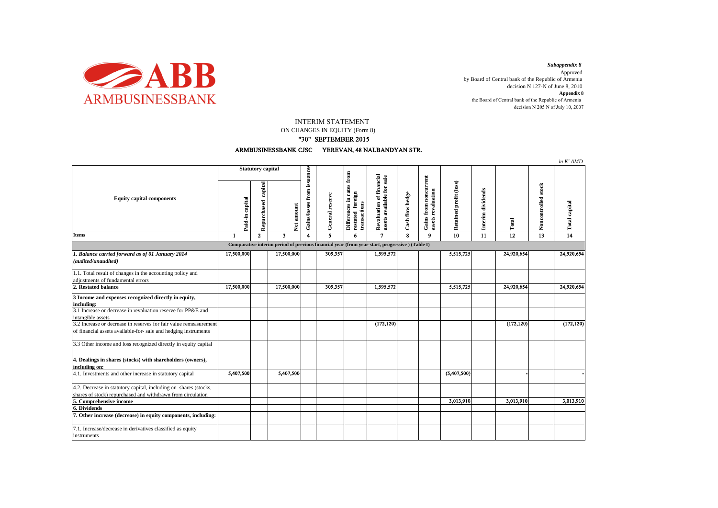

decision N 205 N of July 10, 2007 *Subappendix 8*  Approved by Board of Central bank of the Republic of Armenia decision N 127-N of June 8, 2010 **Appendix 8** the Board of Central bank of the Republic of Armenia

INTERIM STATEMENT

ON CHANGES IN EQUITY (Form 8)

## "30" SEPTEMBER 2015



|                                                                                                                                      |                          |                        |                                                                                                |                             |                 |                                                                          |                                                       |                 |                                             |                        |                   |                 |                     | in K' AMD       |
|--------------------------------------------------------------------------------------------------------------------------------------|--------------------------|------------------------|------------------------------------------------------------------------------------------------|-----------------------------|-----------------|--------------------------------------------------------------------------|-------------------------------------------------------|-----------------|---------------------------------------------|------------------------|-------------------|-----------------|---------------------|-----------------|
| <b>Equity capital components</b>                                                                                                     | <b>Statutory capital</b> |                        |                                                                                                |                             |                 |                                                                          |                                                       |                 |                                             |                        |                   |                 |                     |                 |
|                                                                                                                                      | Paid-in capital          | capital<br>Repurchased | Net amount                                                                                     | Gains/losses from issuances | General reserve | from<br>Differences in rates<br>foreign<br>restated fore<br>transactions | Revaluation of financial<br>assets available for sale | Cash flow hedge | Gains from noncurrent<br>assets revaluation | Retained profit (loss) | Interim dividends | Total           | Noncontrolled stock | Total capital   |
| <b>Items</b>                                                                                                                         | 1                        | $\mathbf{2}$           | $\overline{\mathbf{3}}$                                                                        | 4                           | 5               | 6                                                                        | $\mathbf{7}$                                          | 8               | $\mathbf Q$                                 | $\overline{10}$        | 11                | $\overline{12}$ | $\overline{13}$     | $\overline{14}$ |
|                                                                                                                                      |                          |                        | Comparative interim period of previous financial year (from year-start, progressive) (Table I) |                             |                 |                                                                          |                                                       |                 |                                             |                        |                   |                 |                     |                 |
| 1. Balance carried forward as of 01 January 2014<br>(audited/unaudited)                                                              | 17,500,000               |                        | 17,500,000                                                                                     |                             | 309,357         |                                                                          | 1,595,572                                             |                 |                                             | 5,515,725              |                   | 24,920,654      |                     | 24,920,654      |
| 1.1. Total result of changes in the accounting policy and<br>adjustments of fundamental errors                                       |                          |                        |                                                                                                |                             |                 |                                                                          |                                                       |                 |                                             |                        |                   |                 |                     |                 |
| 2. Restated balance                                                                                                                  | 17,500,000               |                        | 17,500,000                                                                                     |                             | 309,357         |                                                                          | 1,595,572                                             |                 |                                             | 5,515,725              |                   | 24,920,654      |                     | 24,920,654      |
| 3 Income and expenses recognized directly in equity,<br>including:                                                                   |                          |                        |                                                                                                |                             |                 |                                                                          |                                                       |                 |                                             |                        |                   |                 |                     |                 |
| 3.1 Increase or decrease in revaluation reserve for PP&E and<br>intangible assets                                                    |                          |                        |                                                                                                |                             |                 |                                                                          |                                                       |                 |                                             |                        |                   |                 |                     |                 |
| 3.2 Increase or decrease in reserves for fair value remeasurement<br>of financial assets available-for- sale and hedging instruments |                          |                        |                                                                                                |                             |                 |                                                                          | (172, 120)                                            |                 |                                             |                        |                   | (172, 120)      |                     | (172, 120)      |
| 3.3 Other income and loss recognized directly in equity capital                                                                      |                          |                        |                                                                                                |                             |                 |                                                                          |                                                       |                 |                                             |                        |                   |                 |                     |                 |
| 4. Dealings in shares (stocks) with shareholders (owners),<br>including on:                                                          |                          |                        |                                                                                                |                             |                 |                                                                          |                                                       |                 |                                             |                        |                   |                 |                     |                 |
| 4.1. Investments and other increase in statutory capital                                                                             | 5,407,500                |                        | 5,407,500                                                                                      |                             |                 |                                                                          |                                                       |                 |                                             | (5,407,500)            |                   |                 |                     |                 |
| 4.2. Decrease in statutory capital, including on shares (stocks,<br>shares of stock) repurchased and withdrawn from circulation      |                          |                        |                                                                                                |                             |                 |                                                                          |                                                       |                 |                                             |                        |                   |                 |                     |                 |
| 5. Comprehensive income                                                                                                              |                          |                        |                                                                                                |                             |                 |                                                                          |                                                       |                 |                                             | 3,013,910              |                   | 3,013,910       |                     | 3,013,910       |
| 6. Dividends                                                                                                                         |                          |                        |                                                                                                |                             |                 |                                                                          |                                                       |                 |                                             |                        |                   |                 |                     |                 |
| 7. Other increase (decrease) in equity components, including:                                                                        |                          |                        |                                                                                                |                             |                 |                                                                          |                                                       |                 |                                             |                        |                   |                 |                     |                 |
| 7.1. Increase/decrease in derivatives classified as equity<br>instruments                                                            |                          |                        |                                                                                                |                             |                 |                                                                          |                                                       |                 |                                             |                        |                   |                 |                     |                 |